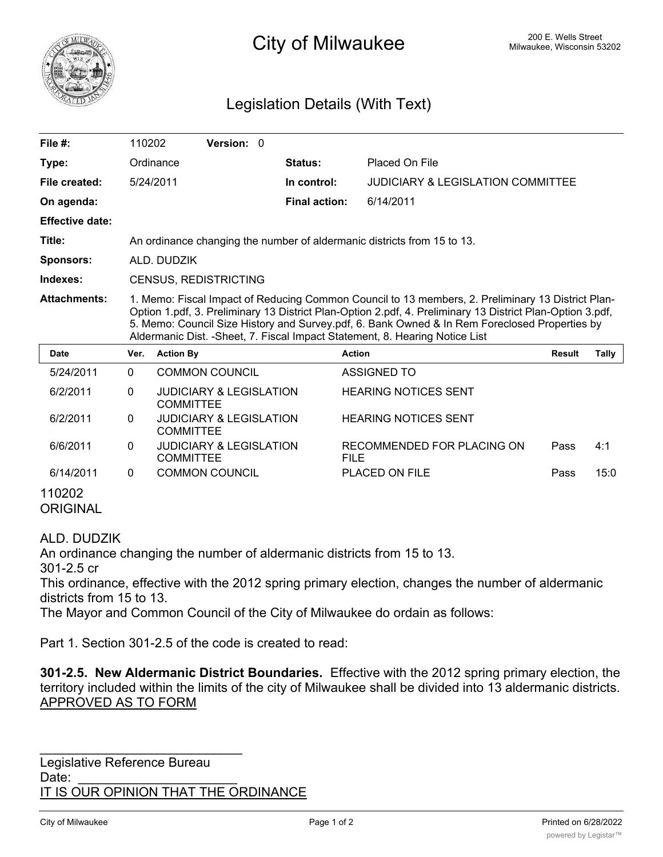

# 200 E. Wells Street 200 E. Wells Street 200 E. Wells Street 200 E. Wells Street

## Legislation Details (With Text)

| File $#$ :               | 110202                                                                                                                                                                                                                                                                                                                                                                                          |                                                        | Version: 0                         |  |                      |                                           |               |       |
|--------------------------|-------------------------------------------------------------------------------------------------------------------------------------------------------------------------------------------------------------------------------------------------------------------------------------------------------------------------------------------------------------------------------------------------|--------------------------------------------------------|------------------------------------|--|----------------------|-------------------------------------------|---------------|-------|
| Type:                    |                                                                                                                                                                                                                                                                                                                                                                                                 | Ordinance                                              |                                    |  | Status:              | Placed On File                            |               |       |
| File created:            |                                                                                                                                                                                                                                                                                                                                                                                                 | 5/24/2011                                              |                                    |  | In control:          | JUDICIARY & LEGISLATION COMMITTEE         |               |       |
| On agenda:               |                                                                                                                                                                                                                                                                                                                                                                                                 |                                                        |                                    |  | <b>Final action:</b> | 6/14/2011                                 |               |       |
| <b>Effective date:</b>   |                                                                                                                                                                                                                                                                                                                                                                                                 |                                                        |                                    |  |                      |                                           |               |       |
| Title:                   | An ordinance changing the number of aldermanic districts from 15 to 13.                                                                                                                                                                                                                                                                                                                         |                                                        |                                    |  |                      |                                           |               |       |
| Sponsors:                | ALD. DUDZIK                                                                                                                                                                                                                                                                                                                                                                                     |                                                        |                                    |  |                      |                                           |               |       |
| Indexes:                 | CENSUS, REDISTRICTING                                                                                                                                                                                                                                                                                                                                                                           |                                                        |                                    |  |                      |                                           |               |       |
| <b>Attachments:</b>      | 1. Memo: Fiscal Impact of Reducing Common Council to 13 members, 2. Preliminary 13 District Plan-<br>Option 1.pdf, 3. Preliminary 13 District Plan-Option 2.pdf, 4. Preliminary 13 District Plan-Option 3.pdf,<br>5. Memo: Council Size History and Survey.pdf, 6. Bank Owned & In Rem Foreclosed Properties by<br>Aldermanic Dist. - Sheet, 7. Fiscal Impact Statement, 8. Hearing Notice List |                                                        |                                    |  |                      |                                           |               |       |
| <b>Date</b>              | Ver.                                                                                                                                                                                                                                                                                                                                                                                            | <b>Action By</b>                                       |                                    |  |                      | <b>Action</b>                             | <b>Result</b> | Tally |
| 5/24/2011                | $\mathbf{0}$                                                                                                                                                                                                                                                                                                                                                                                    |                                                        | <b>COMMON COUNCIL</b>              |  |                      | <b>ASSIGNED TO</b>                        |               |       |
| 6/2/2011                 | 0                                                                                                                                                                                                                                                                                                                                                                                               | <b>COMMITTEE</b>                                       | <b>JUDICIARY &amp; LEGISLATION</b> |  |                      | <b>HEARING NOTICES SENT</b>               |               |       |
| 6/2/2011                 | $\Omega$                                                                                                                                                                                                                                                                                                                                                                                        | <b>COMMITTEE</b>                                       | <b>JUDICIARY &amp; LEGISLATION</b> |  |                      | <b>HEARING NOTICES SENT</b>               |               |       |
| 6/6/2011                 | 0                                                                                                                                                                                                                                                                                                                                                                                               | <b>JUDICIARY &amp; LEGISLATION</b><br><b>COMMITTEE</b> |                                    |  |                      | RECOMMENDED FOR PLACING ON<br><b>FILE</b> | Pass          | 4:1   |
| 6/14/2011                | 0                                                                                                                                                                                                                                                                                                                                                                                               |                                                        | <b>COMMON COUNCIL</b>              |  |                      | <b>PLACED ON FILE</b>                     | Pass          | 15:0  |
| 110202<br><b>ADIAILI</b> |                                                                                                                                                                                                                                                                                                                                                                                                 |                                                        |                                    |  |                      |                                           |               |       |

ORIGINAL

#### ALD. DUDZIK

An ordinance changing the number of aldermanic districts from 15 to 13.

301-2.5 cr

This ordinance, effective with the 2012 spring primary election, changes the number of aldermanic districts from 15 to 13.

The Mayor and Common Council of the City of Milwaukee do ordain as follows:

Part 1. Section 301-2.5 of the code is created to read:

**301-2.5. New Aldermanic District Boundaries.** Effective with the 2012 spring primary election, the territory included within the limits of the city of Milwaukee shall be divided into 13 aldermanic districts. APPROVED AS TO FORM

Legislative Reference Bureau Date: IT IS OUR OPINION THAT THE ORDINANCE

\_\_\_\_\_\_\_\_\_\_\_\_\_\_\_\_\_\_\_\_\_\_\_\_\_\_\_\_